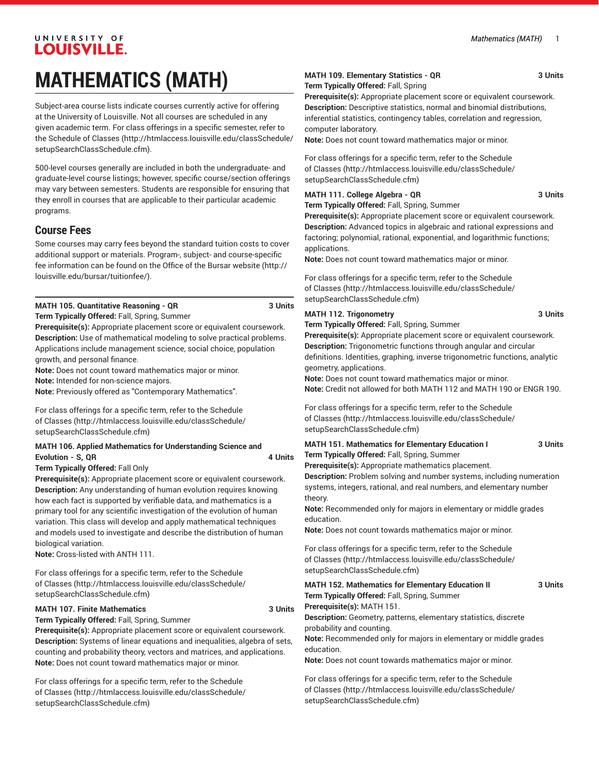## UNIVERSITY OF **LOUISVILLE. MATHEMATICS (MATH)**

Subject-area course lists indicate courses currently active for offering at the University of Louisville. Not all courses are scheduled in any given academic term. For class offerings in a specific semester, refer to the [Schedule of Classes](http://htmlaccess.louisville.edu/classSchedule/setupSearchClassSchedule.cfm) ([http://htmlaccess.louisville.edu/classSchedule/](http://htmlaccess.louisville.edu/classSchedule/setupSearchClassSchedule.cfm) [setupSearchClassSchedule.cfm\)](http://htmlaccess.louisville.edu/classSchedule/setupSearchClassSchedule.cfm).

500-level courses generally are included in both the undergraduate- and graduate-level course listings; however, specific course/section offerings may vary between semesters. Students are responsible for ensuring that they enroll in courses that are applicable to their particular academic programs.

### **Course Fees**

Some courses may carry fees beyond the standard tuition costs to cover additional support or materials. Program-, subject- and course-specific fee information can be found on the [Office of the Bursar website](http://louisville.edu/bursar/tuitionfee/) ([http://](http://louisville.edu/bursar/tuitionfee/) [louisville.edu/bursar/tuitionfee/](http://louisville.edu/bursar/tuitionfee/)).

#### **MATH 105. Quantitative Reasoning - QR 3 Units**

**Term Typically Offered:** Fall, Spring, Summer

**Prerequisite(s):** Appropriate placement score or equivalent coursework. **Description:** Use of mathematical modeling to solve practical problems. Applications include management science, social choice, population growth, and personal finance.

**Note:** Does not count toward mathematics major or minor.

**Note:** Intended for non-science majors.

**Note:** Previously offered as "Contemporary Mathematics".

For class offerings for a specific term, refer to the [Schedule](http://htmlaccess.louisville.edu/classSchedule/setupSearchClassSchedule.cfm) [of Classes \(http://htmlaccess.louisville.edu/classSchedule/](http://htmlaccess.louisville.edu/classSchedule/setupSearchClassSchedule.cfm) [setupSearchClassSchedule.cfm\)](http://htmlaccess.louisville.edu/classSchedule/setupSearchClassSchedule.cfm)

#### **MATH 106. Applied Mathematics for Understanding Science and Evolution - S, QR 4 Units**

**Term Typically Offered:** Fall Only

**Prerequisite(s):** Appropriate placement score or equivalent coursework. **Description:** Any understanding of human evolution requires knowing how each fact is supported by verifiable data, and mathematics is a primary tool for any scientific investigation of the evolution of human variation. This class will develop and apply mathematical techniques and models used to investigate and describe the distribution of human biological variation.

**Note:** Cross-listed with ANTH 111.

For class offerings for a specific term, refer to the [Schedule](http://htmlaccess.louisville.edu/classSchedule/setupSearchClassSchedule.cfm) [of Classes \(http://htmlaccess.louisville.edu/classSchedule/](http://htmlaccess.louisville.edu/classSchedule/setupSearchClassSchedule.cfm) [setupSearchClassSchedule.cfm\)](http://htmlaccess.louisville.edu/classSchedule/setupSearchClassSchedule.cfm)

#### **MATH 107. Finite Mathematics 3 Units**

**Term Typically Offered:** Fall, Spring, Summer

**Prerequisite(s):** Appropriate placement score or equivalent coursework. **Description:** Systems of linear equations and inequalities, algebra of sets, counting and probability theory, vectors and matrices, and applications. **Note:** Does not count toward mathematics major or minor.

For class offerings for a specific term, refer to the [Schedule](http://htmlaccess.louisville.edu/classSchedule/setupSearchClassSchedule.cfm) [of Classes \(http://htmlaccess.louisville.edu/classSchedule/](http://htmlaccess.louisville.edu/classSchedule/setupSearchClassSchedule.cfm) [setupSearchClassSchedule.cfm\)](http://htmlaccess.louisville.edu/classSchedule/setupSearchClassSchedule.cfm)

#### **MATH 109. Elementary Statistics - QR 3 Units Term Typically Offered:** Fall, Spring

**Prerequisite(s):** Appropriate placement score or equivalent coursework. **Description:** Descriptive statistics, normal and binomial distributions, inferential statistics, contingency tables, correlation and regression, computer laboratory.

**Note:** Does not count toward mathematics major or minor.

For class offerings for a specific term, refer to the [Schedule](http://htmlaccess.louisville.edu/classSchedule/setupSearchClassSchedule.cfm) [of Classes](http://htmlaccess.louisville.edu/classSchedule/setupSearchClassSchedule.cfm) ([http://htmlaccess.louisville.edu/classSchedule/](http://htmlaccess.louisville.edu/classSchedule/setupSearchClassSchedule.cfm) [setupSearchClassSchedule.cfm\)](http://htmlaccess.louisville.edu/classSchedule/setupSearchClassSchedule.cfm)

#### **MATH 111. College Algebra - QR** 3 Units

**Term Typically Offered:** Fall, Spring, Summer

**Prerequisite(s):** Appropriate placement score or equivalent coursework. **Description:** Advanced topics in algebraic and rational expressions and factoring; polynomial, rational, exponential, and logarithmic functions; applications.

**Note:** Does not count toward mathematics major or minor.

For class offerings for a specific term, refer to the [Schedule](http://htmlaccess.louisville.edu/classSchedule/setupSearchClassSchedule.cfm) [of Classes](http://htmlaccess.louisville.edu/classSchedule/setupSearchClassSchedule.cfm) ([http://htmlaccess.louisville.edu/classSchedule/](http://htmlaccess.louisville.edu/classSchedule/setupSearchClassSchedule.cfm) [setupSearchClassSchedule.cfm\)](http://htmlaccess.louisville.edu/classSchedule/setupSearchClassSchedule.cfm)

#### **MATH 112. Trigonometry 3 Units**

**Term Typically Offered:** Fall, Spring, Summer

**Prerequisite(s):** Appropriate placement score or equivalent coursework. **Description:** Trigonometric functions through angular and circular definitions. Identities, graphing, inverse trigonometric functions, analytic geometry, applications.

**Note:** Does not count toward mathematics major or minor. **Note:** Credit not allowed for both MATH 112 and MATH 190 or ENGR 190.

For class offerings for a specific term, refer to the [Schedule](http://htmlaccess.louisville.edu/classSchedule/setupSearchClassSchedule.cfm) [of Classes](http://htmlaccess.louisville.edu/classSchedule/setupSearchClassSchedule.cfm) ([http://htmlaccess.louisville.edu/classSchedule/](http://htmlaccess.louisville.edu/classSchedule/setupSearchClassSchedule.cfm) [setupSearchClassSchedule.cfm\)](http://htmlaccess.louisville.edu/classSchedule/setupSearchClassSchedule.cfm)

#### **MATH 151. Mathematics for Elementary Education I 3 Units Term Typically Offered:** Fall, Spring, Summer

**Prerequisite(s):** Appropriate mathematics placement.

**Description:** Problem solving and number systems, including numeration systems, integers, rational, and real numbers, and elementary number theory.

**Note:** Recommended only for majors in elementary or middle grades education.

**Note:** Does not count towards mathematics major or minor.

For class offerings for a specific term, refer to the [Schedule](http://htmlaccess.louisville.edu/classSchedule/setupSearchClassSchedule.cfm) [of Classes](http://htmlaccess.louisville.edu/classSchedule/setupSearchClassSchedule.cfm) ([http://htmlaccess.louisville.edu/classSchedule/](http://htmlaccess.louisville.edu/classSchedule/setupSearchClassSchedule.cfm) [setupSearchClassSchedule.cfm\)](http://htmlaccess.louisville.edu/classSchedule/setupSearchClassSchedule.cfm)

**MATH 152. Mathematics for Elementary Education II 3 Units Term Typically Offered:** Fall, Spring, Summer **Prerequisite(s):** MATH 151. **Description:** Geometry, patterns, elementary statistics, discrete probability and counting. **Note:** Recommended only for majors in elementary or middle grades education.

**Note:** Does not count towards mathematics major or minor.

For class offerings for a specific term, refer to the [Schedule](http://htmlaccess.louisville.edu/classSchedule/setupSearchClassSchedule.cfm) [of Classes](http://htmlaccess.louisville.edu/classSchedule/setupSearchClassSchedule.cfm) ([http://htmlaccess.louisville.edu/classSchedule/](http://htmlaccess.louisville.edu/classSchedule/setupSearchClassSchedule.cfm) [setupSearchClassSchedule.cfm\)](http://htmlaccess.louisville.edu/classSchedule/setupSearchClassSchedule.cfm)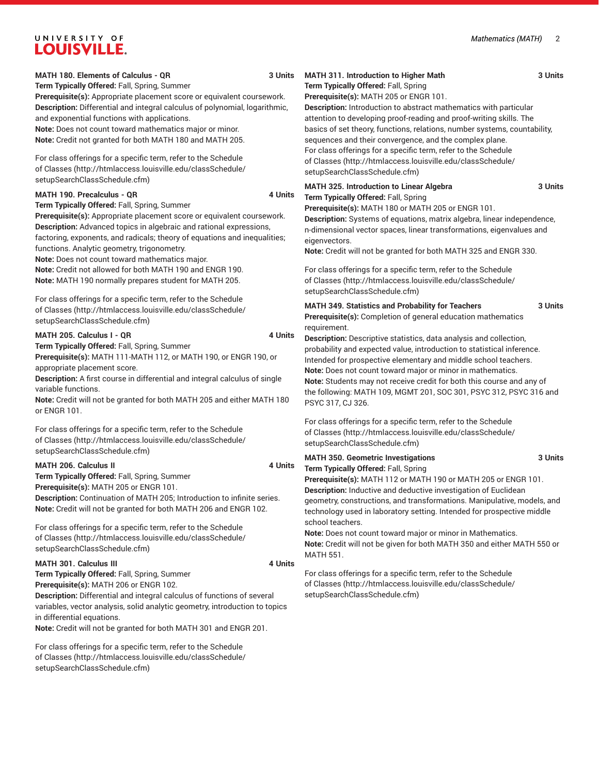**MATH 180. Elements of Calculus - QR 3 Units**

**Term Typically Offered:** Fall, Spring, Summer **Prerequisite(s):** Appropriate placement score or equivalent coursework. **Description:** Differential and integral calculus of polynomial, logarithmic, and exponential functions with applications. **Note:** Does not count toward mathematics major or minor.

**Note:** Credit not granted for both MATH 180 and MATH 205.

For class offerings for a specific term, refer to the [Schedule](http://htmlaccess.louisville.edu/classSchedule/setupSearchClassSchedule.cfm) [of Classes \(http://htmlaccess.louisville.edu/classSchedule/](http://htmlaccess.louisville.edu/classSchedule/setupSearchClassSchedule.cfm) [setupSearchClassSchedule.cfm\)](http://htmlaccess.louisville.edu/classSchedule/setupSearchClassSchedule.cfm)

#### **MATH 190. Precalculus - QR** 4 Units

**Term Typically Offered:** Fall, Spring, Summer **Prerequisite(s):** Appropriate placement score or equivalent coursework. **Description:** Advanced topics in algebraic and rational expressions, factoring, exponents, and radicals; theory of equations and inequalities; functions. Analytic geometry, trigonometry. **Note:** Does not count toward mathematics major. **Note:** Credit not allowed for both MATH 190 and ENGR 190. **Note:** MATH 190 normally prepares student for MATH 205.

For class offerings for a specific term, refer to the [Schedule](http://htmlaccess.louisville.edu/classSchedule/setupSearchClassSchedule.cfm) [of Classes \(http://htmlaccess.louisville.edu/classSchedule/](http://htmlaccess.louisville.edu/classSchedule/setupSearchClassSchedule.cfm) [setupSearchClassSchedule.cfm\)](http://htmlaccess.louisville.edu/classSchedule/setupSearchClassSchedule.cfm)

#### **MATH 205. Calculus I - QR** 4 Units

**Term Typically Offered:** Fall, Spring, Summer

**Prerequisite(s):** MATH 111-MATH 112, or MATH 190, or ENGR 190, or appropriate placement score.

**Description:** A first course in differential and integral calculus of single variable functions.

**Note:** Credit will not be granted for both MATH 205 and either MATH 180 or ENGR 101.

For class offerings for a specific term, refer to the [Schedule](http://htmlaccess.louisville.edu/classSchedule/setupSearchClassSchedule.cfm) [of Classes \(http://htmlaccess.louisville.edu/classSchedule/](http://htmlaccess.louisville.edu/classSchedule/setupSearchClassSchedule.cfm) [setupSearchClassSchedule.cfm\)](http://htmlaccess.louisville.edu/classSchedule/setupSearchClassSchedule.cfm)

#### **MATH 206. Calculus II 4 Units**

**Term Typically Offered:** Fall, Spring, Summer **Prerequisite(s):** MATH 205 or ENGR 101. **Description:** Continuation of MATH 205; Introduction to infinite series. **Note:** Credit will not be granted for both MATH 206 and ENGR 102.

For class offerings for a specific term, refer to the [Schedule](http://htmlaccess.louisville.edu/classSchedule/setupSearchClassSchedule.cfm) [of Classes \(http://htmlaccess.louisville.edu/classSchedule/](http://htmlaccess.louisville.edu/classSchedule/setupSearchClassSchedule.cfm) [setupSearchClassSchedule.cfm\)](http://htmlaccess.louisville.edu/classSchedule/setupSearchClassSchedule.cfm)

#### **MATH 301. Calculus III** 4 Units

**Term Typically Offered:** Fall, Spring, Summer **Prerequisite(s):** MATH 206 or ENGR 102.

**Description:** Differential and integral calculus of functions of several variables, vector analysis, solid analytic geometry, introduction to topics in differential equations.

**Note:** Credit will not be granted for both MATH 301 and ENGR 201.

For class offerings for a specific term, refer to the [Schedule](http://htmlaccess.louisville.edu/classSchedule/setupSearchClassSchedule.cfm) [of Classes \(http://htmlaccess.louisville.edu/classSchedule/](http://htmlaccess.louisville.edu/classSchedule/setupSearchClassSchedule.cfm) [setupSearchClassSchedule.cfm\)](http://htmlaccess.louisville.edu/classSchedule/setupSearchClassSchedule.cfm)

#### **Term Typically Offered:** Fall, Spring **Prerequisite(s):** MATH 205 or ENGR 101.

**Description:** Introduction to abstract mathematics with particular attention to developing proof-reading and proof-writing skills. The basics of set theory, functions, relations, number systems, countability, sequences and their convergence, and the complex plane. For class offerings for a specific term, refer to the [Schedule](http://htmlaccess.louisville.edu/classSchedule/setupSearchClassSchedule.cfm) [of Classes](http://htmlaccess.louisville.edu/classSchedule/setupSearchClassSchedule.cfm) ([http://htmlaccess.louisville.edu/classSchedule/](http://htmlaccess.louisville.edu/classSchedule/setupSearchClassSchedule.cfm) [setupSearchClassSchedule.cfm\)](http://htmlaccess.louisville.edu/classSchedule/setupSearchClassSchedule.cfm)

#### **MATH 325. Introduction to Linear Algebra 3 Units Term Typically Offered:** Fall, Spring

**Prerequisite(s):** MATH 180 or MATH 205 or ENGR 101.

**Description:** Systems of equations, matrix algebra, linear independence, n-dimensional vector spaces, linear transformations, eigenvalues and eigenvectors.

**Note:** Credit will not be granted for both MATH 325 and ENGR 330.

For class offerings for a specific term, refer to the [Schedule](http://htmlaccess.louisville.edu/classSchedule/setupSearchClassSchedule.cfm) [of Classes](http://htmlaccess.louisville.edu/classSchedule/setupSearchClassSchedule.cfm) ([http://htmlaccess.louisville.edu/classSchedule/](http://htmlaccess.louisville.edu/classSchedule/setupSearchClassSchedule.cfm) [setupSearchClassSchedule.cfm\)](http://htmlaccess.louisville.edu/classSchedule/setupSearchClassSchedule.cfm)

**MATH 349. Statistics and Probability for Teachers 3 Units**

**Prerequisite(s):** Completion of general education mathematics requirement.

**Description:** Descriptive statistics, data analysis and collection, probability and expected value, introduction to statistical inference. Intended for prospective elementary and middle school teachers. **Note:** Does not count toward major or minor in mathematics. **Note:** Students may not receive credit for both this course and any of the following: MATH 109, MGMT 201, SOC 301, PSYC 312, PSYC 316 and PSYC 317, CJ 326.

For class offerings for a specific term, refer to the [Schedule](http://htmlaccess.louisville.edu/classSchedule/setupSearchClassSchedule.cfm) [of Classes](http://htmlaccess.louisville.edu/classSchedule/setupSearchClassSchedule.cfm) ([http://htmlaccess.louisville.edu/classSchedule/](http://htmlaccess.louisville.edu/classSchedule/setupSearchClassSchedule.cfm) [setupSearchClassSchedule.cfm\)](http://htmlaccess.louisville.edu/classSchedule/setupSearchClassSchedule.cfm)

#### **MATH 350. Geometric Investigations 3 Units Term Typically Offered:** Fall, Spring

**Prerequisite(s):** MATH 112 or MATH 190 or MATH 205 or ENGR 101. **Description:** Inductive and deductive investigation of Euclidean geometry, constructions, and transformations. Manipulative, models, and technology used in laboratory setting. Intended for prospective middle school teachers.

**Note:** Does not count toward major or minor in Mathematics. **Note:** Credit will not be given for both MATH 350 and either MATH 550 or MATH 551.

For class offerings for a specific term, refer to the [Schedule](http://htmlaccess.louisville.edu/classSchedule/setupSearchClassSchedule.cfm) [of Classes](http://htmlaccess.louisville.edu/classSchedule/setupSearchClassSchedule.cfm) ([http://htmlaccess.louisville.edu/classSchedule/](http://htmlaccess.louisville.edu/classSchedule/setupSearchClassSchedule.cfm) [setupSearchClassSchedule.cfm\)](http://htmlaccess.louisville.edu/classSchedule/setupSearchClassSchedule.cfm)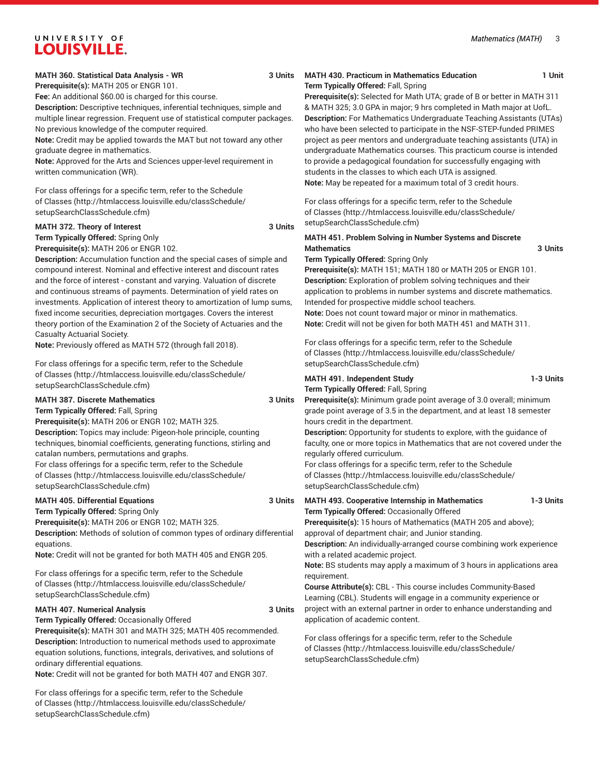**Prerequisite(s):** MATH 205 or ENGR 101.

**Fee:** An additional \$60.00 is charged for this course.

**Description:** Descriptive techniques, inferential techniques, simple and multiple linear regression. Frequent use of statistical computer packages. No previous knowledge of the computer required.

**Note:** Credit may be applied towards the MAT but not toward any other graduate degree in mathematics.

**Note:** Approved for the Arts and Sciences upper-level requirement in written communication (WR).

For class offerings for a specific term, refer to the [Schedule](http://htmlaccess.louisville.edu/classSchedule/setupSearchClassSchedule.cfm) [of Classes \(http://htmlaccess.louisville.edu/classSchedule/](http://htmlaccess.louisville.edu/classSchedule/setupSearchClassSchedule.cfm) [setupSearchClassSchedule.cfm\)](http://htmlaccess.louisville.edu/classSchedule/setupSearchClassSchedule.cfm)

#### **MATH 372. Theory of Interest 3 Units**

**Term Typically Offered:** Spring Only **Prerequisite(s):** MATH 206 or ENGR 102.

**Description:** Accumulation function and the special cases of simple and compound interest. Nominal and effective interest and discount rates and the force of interest - constant and varying. Valuation of discrete and continuous streams of payments. Determination of yield rates on investments. Application of interest theory to amortization of lump sums, fixed income securities, depreciation mortgages. Covers the interest theory portion of the Examination 2 of the Society of Actuaries and the Casualty Actuarial Society.

**Note:** Previously offered as MATH 572 (through fall 2018).

For class offerings for a specific term, refer to the [Schedule](http://htmlaccess.louisville.edu/classSchedule/setupSearchClassSchedule.cfm) [of Classes \(http://htmlaccess.louisville.edu/classSchedule/](http://htmlaccess.louisville.edu/classSchedule/setupSearchClassSchedule.cfm) [setupSearchClassSchedule.cfm\)](http://htmlaccess.louisville.edu/classSchedule/setupSearchClassSchedule.cfm)

#### **MATH 387. Discrete Mathematics 3 Units**

**Term Typically Offered:** Fall, Spring **Prerequisite(s):** MATH 206 or ENGR 102; MATH 325. **Description:** Topics may include: Pigeon-hole principle, counting techniques, binomial coefficients, generating functions, stirling and catalan numbers, permutations and graphs. For class offerings for a specific term, refer to the [Schedule](http://htmlaccess.louisville.edu/classSchedule/setupSearchClassSchedule.cfm) [of Classes \(http://htmlaccess.louisville.edu/classSchedule/](http://htmlaccess.louisville.edu/classSchedule/setupSearchClassSchedule.cfm) [setupSearchClassSchedule.cfm\)](http://htmlaccess.louisville.edu/classSchedule/setupSearchClassSchedule.cfm)

#### **MATH 405. Differential Equations 3 Units Term Typically Offered:** Spring Only

**Prerequisite(s):** MATH 206 or ENGR 102; MATH 325. **Description:** Methods of solution of common types of ordinary differential equations.

**Note:** Credit will not be granted for both MATH 405 and ENGR 205.

For class offerings for a specific term, refer to the [Schedule](http://htmlaccess.louisville.edu/classSchedule/setupSearchClassSchedule.cfm) [of Classes \(http://htmlaccess.louisville.edu/classSchedule/](http://htmlaccess.louisville.edu/classSchedule/setupSearchClassSchedule.cfm) [setupSearchClassSchedule.cfm\)](http://htmlaccess.louisville.edu/classSchedule/setupSearchClassSchedule.cfm)

#### **MATH 407. Numerical Analysis 3 Units** 3 Units

**Term Typically Offered:** Occasionally Offered

**Prerequisite(s):** MATH 301 and MATH 325; MATH 405 recommended. **Description:** Introduction to numerical methods used to approximate equation solutions, functions, integrals, derivatives, and solutions of ordinary differential equations.

**Note:** Credit will not be granted for both MATH 407 and ENGR 307.

For class offerings for a specific term, refer to the [Schedule](http://htmlaccess.louisville.edu/classSchedule/setupSearchClassSchedule.cfm) [of Classes \(http://htmlaccess.louisville.edu/classSchedule/](http://htmlaccess.louisville.edu/classSchedule/setupSearchClassSchedule.cfm) [setupSearchClassSchedule.cfm\)](http://htmlaccess.louisville.edu/classSchedule/setupSearchClassSchedule.cfm)

#### **MATH 430. Practicum in Mathematics Education 1 Unit Term Typically Offered:** Fall, Spring

**Prerequisite(s):** Selected for Math UTA; grade of B or better in MATH 311 & MATH 325; 3.0 GPA in major; 9 hrs completed in Math major at UofL. **Description:** For Mathematics Undergraduate Teaching Assistants (UTAs) who have been selected to participate in the NSF-STEP-funded PRIMES project as peer mentors and undergraduate teaching assistants (UTA) in undergraduate Mathematics courses. This practicum course is intended to provide a pedagogical foundation for successfully engaging with students in the classes to which each UTA is assigned. **Note:** May be repeated for a maximum total of 3 credit hours.

For class offerings for a specific term, refer to the [Schedule](http://htmlaccess.louisville.edu/classSchedule/setupSearchClassSchedule.cfm) [of Classes](http://htmlaccess.louisville.edu/classSchedule/setupSearchClassSchedule.cfm) ([http://htmlaccess.louisville.edu/classSchedule/](http://htmlaccess.louisville.edu/classSchedule/setupSearchClassSchedule.cfm) [setupSearchClassSchedule.cfm\)](http://htmlaccess.louisville.edu/classSchedule/setupSearchClassSchedule.cfm)

#### **MATH 451. Problem Solving in Number Systems and Discrete Mathematics 3 Units**

**Term Typically Offered:** Spring Only

**Prerequisite(s):** MATH 151; MATH 180 or MATH 205 or ENGR 101. **Description:** Exploration of problem solving techniques and their application to problems in number systems and discrete mathematics. Intended for prospective middle school teachers. **Note:** Does not count toward major or minor in mathematics. **Note:** Credit will not be given for both MATH 451 and MATH 311.

For class offerings for a specific term, refer to the [Schedule](http://htmlaccess.louisville.edu/classSchedule/setupSearchClassSchedule.cfm) [of Classes](http://htmlaccess.louisville.edu/classSchedule/setupSearchClassSchedule.cfm) ([http://htmlaccess.louisville.edu/classSchedule/](http://htmlaccess.louisville.edu/classSchedule/setupSearchClassSchedule.cfm) [setupSearchClassSchedule.cfm\)](http://htmlaccess.louisville.edu/classSchedule/setupSearchClassSchedule.cfm)

## **MATH 491. Independent Study 1-3 Units**

**Term Typically Offered:** Fall, Spring

**Prerequisite(s):** Minimum grade point average of 3.0 overall; minimum grade point average of 3.5 in the department, and at least 18 semester hours credit in the department.

**Description:** Opportunity for students to explore, with the guidance of faculty, one or more topics in Mathematics that are not covered under the regularly offered curriculum.

For class offerings for a specific term, refer to the [Schedule](http://htmlaccess.louisville.edu/classSchedule/setupSearchClassSchedule.cfm) [of Classes](http://htmlaccess.louisville.edu/classSchedule/setupSearchClassSchedule.cfm) ([http://htmlaccess.louisville.edu/classSchedule/](http://htmlaccess.louisville.edu/classSchedule/setupSearchClassSchedule.cfm) [setupSearchClassSchedule.cfm\)](http://htmlaccess.louisville.edu/classSchedule/setupSearchClassSchedule.cfm)

**MATH 493. Cooperative Internship in Mathematics 1-3 Units Term Typically Offered:** Occasionally Offered **Prerequisite(s):** 15 hours of Mathematics (MATH 205 and above);

approval of department chair; and Junior standing.

**Description:** An individually-arranged course combining work experience with a related academic project.

**Note:** BS students may apply a maximum of 3 hours in applications area requirement.

**Course Attribute(s):** CBL - This course includes Community-Based Learning (CBL). Students will engage in a community experience or project with an external partner in order to enhance understanding and application of academic content.

For class offerings for a specific term, refer to the [Schedule](http://htmlaccess.louisville.edu/classSchedule/setupSearchClassSchedule.cfm) [of Classes](http://htmlaccess.louisville.edu/classSchedule/setupSearchClassSchedule.cfm) ([http://htmlaccess.louisville.edu/classSchedule/](http://htmlaccess.louisville.edu/classSchedule/setupSearchClassSchedule.cfm) [setupSearchClassSchedule.cfm\)](http://htmlaccess.louisville.edu/classSchedule/setupSearchClassSchedule.cfm)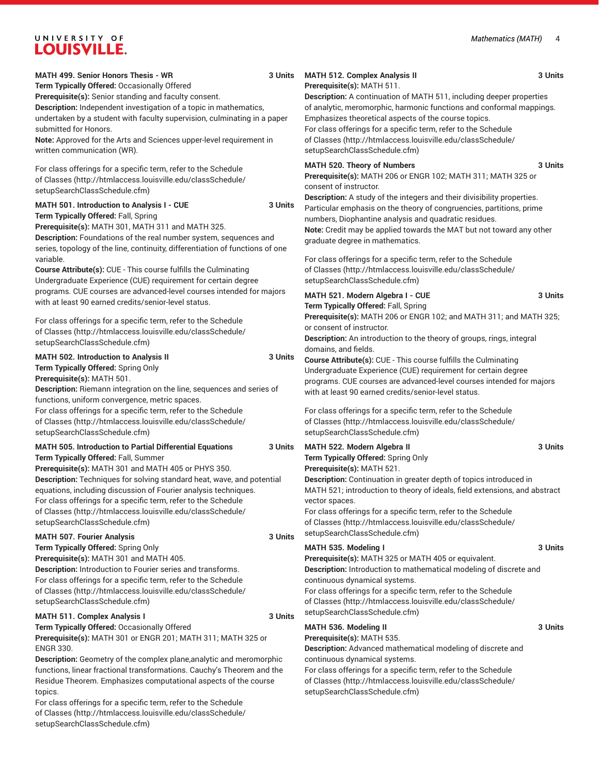For class offerings for a specific term, refer to the [Schedule](http://htmlaccess.louisville.edu/classSchedule/setupSearchClassSchedule.cfm) [of Classes \(http://htmlaccess.louisville.edu/classSchedule/](http://htmlaccess.louisville.edu/classSchedule/setupSearchClassSchedule.cfm)

[setupSearchClassSchedule.cfm\)](http://htmlaccess.louisville.edu/classSchedule/setupSearchClassSchedule.cfm)

| <b>MATH 499. Senior Honors Thesis - WR</b><br>Term Typically Offered: Occasionally Offered                                                                                                                                                                                                                                                                                                                                                     | 3 Units | <b>MATH 512. Complex Analysis II</b><br>Prerequisite(s): MATH 511.                                                                                                                                                                                                                                                                                                                                         | 3 Units |
|------------------------------------------------------------------------------------------------------------------------------------------------------------------------------------------------------------------------------------------------------------------------------------------------------------------------------------------------------------------------------------------------------------------------------------------------|---------|------------------------------------------------------------------------------------------------------------------------------------------------------------------------------------------------------------------------------------------------------------------------------------------------------------------------------------------------------------------------------------------------------------|---------|
| Prerequisite(s): Senior standing and faculty consent.<br>Description: Independent investigation of a topic in mathematics,<br>undertaken by a student with faculty supervision, culminating in a paper<br>submitted for Honors.<br>Note: Approved for the Arts and Sciences upper-level requirement in<br>written communication (WR).                                                                                                          |         | <b>Description:</b> A continuation of MATH 511, including deeper properties<br>of analytic, meromorphic, harmonic functions and conformal mappings.<br>Emphasizes theoretical aspects of the course topics.<br>For class offerings for a specific term, refer to the Schedule<br>of Classes (http://htmlaccess.louisville.edu/classSchedule/<br>setupSearchClassSchedule.cfm)                              |         |
| For class offerings for a specific term, refer to the Schedule<br>of Classes (http://htmlaccess.louisville.edu/classSchedule/<br>setupSearchClassSchedule.cfm)                                                                                                                                                                                                                                                                                 |         | MATH 520. Theory of Numbers<br>Prerequisite(s): MATH 206 or ENGR 102; MATH 311; MATH 325 or<br>consent of instructor.<br>Description: A study of the integers and their divisibility properties.                                                                                                                                                                                                           | 3 Units |
| MATH 501. Introduction to Analysis I - CUE<br>Term Typically Offered: Fall, Spring<br>Prerequisite(s): MATH 301, MATH 311 and MATH 325.<br>Description: Foundations of the real number system, sequences and<br>series, topology of the line, continuity, differentiation of functions of one<br>variable.<br>Course Attribute(s): CUE - This course fulfills the Culminating<br>Undergraduate Experience (CUE) requirement for certain degree | 3 Units | Particular emphasis on the theory of congruencies, partitions, prime<br>numbers, Diophantine analysis and quadratic residues.<br>Note: Credit may be applied towards the MAT but not toward any other<br>graduate degree in mathematics.<br>For class offerings for a specific term, refer to the Schedule<br>of Classes (http://htmlaccess.louisville.edu/classSchedule/<br>setupSearchClassSchedule.cfm) |         |
| programs. CUE courses are advanced-level courses intended for majors<br>with at least 90 earned credits/senior-level status.<br>For class offerings for a specific term, refer to the Schedule<br>of Classes (http://htmlaccess.louisville.edu/classSchedule/                                                                                                                                                                                  |         | MATH 521. Modern Algebra I - CUE<br>Term Typically Offered: Fall, Spring<br>Prerequisite(s): MATH 206 or ENGR 102; and MATH 311; and MATH 325;<br>or consent of instructor.                                                                                                                                                                                                                                | 3 Units |
| setupSearchClassSchedule.cfm)<br>MATH 502. Introduction to Analysis II<br>Term Typically Offered: Spring Only<br>Prerequisite(s): MATH 501.<br>Description: Riemann integration on the line, sequences and series of<br>functions, uniform convergence, metric spaces.                                                                                                                                                                         | 3 Units | Description: An introduction to the theory of groups, rings, integral<br>domains, and fields.<br>Course Attribute(s): CUE - This course fulfills the Culminating<br>Undergraduate Experience (CUE) requirement for certain degree<br>programs. CUE courses are advanced-level courses intended for majors<br>with at least 90 earned credits/senior-level status.                                          |         |
| For class offerings for a specific term, refer to the Schedule<br>of Classes (http://htmlaccess.louisville.edu/classSchedule/<br>setupSearchClassSchedule.cfm)                                                                                                                                                                                                                                                                                 |         | For class offerings for a specific term, refer to the Schedule<br>of Classes (http://htmlaccess.louisville.edu/classSchedule/<br>setupSearchClassSchedule.cfm)                                                                                                                                                                                                                                             |         |
| <b>MATH 505. Introduction to Partial Differential Equations</b><br>Term Typically Offered: Fall, Summer<br>Prerequisite(s): MATH 301 and MATH 405 or PHYS 350.                                                                                                                                                                                                                                                                                 | 3 Units | MATH 522. Modern Algebra II<br>Term Typically Offered: Spring Only<br>Prerequisite(s): MATH 521.                                                                                                                                                                                                                                                                                                           | 3 Units |
| Description: Techniques for solving standard heat, wave, and potential<br>equations, including discussion of Fourier analysis techniques.<br>For class offerings for a specific term, refer to the Schedule<br>of Classes (http://htmlaccess.louisville.edu/classSchedule/<br>setupSearchClassSchedule.cfm)                                                                                                                                    |         | Description: Continuation in greater depth of topics introduced in<br>MATH 521; introduction to theory of ideals, field extensions, and abstract<br>vector spaces.<br>For class offerings for a specific term, refer to the Schedule<br>of Classes (http://htmlaccess.louisville.edu/classSchedule/                                                                                                        |         |
| <b>MATH 507. Fourier Analysis</b>                                                                                                                                                                                                                                                                                                                                                                                                              | 3 Units | setupSearchClassSchedule.cfm)                                                                                                                                                                                                                                                                                                                                                                              |         |
| Term Typically Offered: Spring Only<br>Prerequisite(s): MATH 301 and MATH 405.<br>Description: Introduction to Fourier series and transforms.<br>For class offerings for a specific term, refer to the Schedule<br>of Classes (http://htmlaccess.louisville.edu/classSchedule/<br>setupSearchClassSchedule.cfm)                                                                                                                                |         | MATH 535. Modeling I<br>Prerequisite(s): MATH 325 or MATH 405 or equivalent.<br>Description: Introduction to mathematical modeling of discrete and<br>continuous dynamical systems.<br>For class offerings for a specific term, refer to the Schedule<br>of Classes (http://htmlaccess.louisville.edu/classSchedule/                                                                                       | 3 Units |
| MATH 511. Complex Analysis I                                                                                                                                                                                                                                                                                                                                                                                                                   | 3 Units | setupSearchClassSchedule.cfm)                                                                                                                                                                                                                                                                                                                                                                              |         |
| Term Typically Offered: Occasionally Offered<br>Prerequisite(s): MATH 301 or ENGR 201; MATH 311; MATH 325 or<br><b>ENGR 330.</b><br>Description: Geometry of the complex plane, analytic and meromorphic<br>functions, linear fractional transformations. Cauchy's Theorem and the<br>Residue Theorem. Emphasizes computational aspects of the course<br>topics.                                                                               |         | MATH 536. Modeling II<br>Prerequisite(s): MATH 535.<br>Description: Advanced mathematical modeling of discrete and<br>continuous dynamical systems.<br>For class offerings for a specific term, refer to the Schedule<br>of Classes (http://htmlaccess.louisville.edu/classSchedule/<br>setupSearchClassSchedule.cfm)                                                                                      | 3 Units |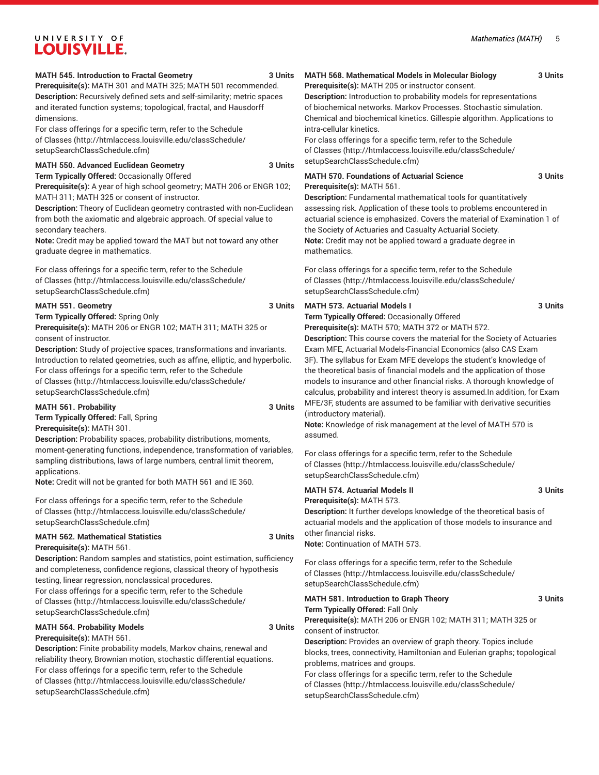#### **MATH 545. Introduction to Fractal Geometry 3 Units**

**Prerequisite(s):** MATH 301 and MATH 325; MATH 501 recommended. **Description:** Recursively defined sets and self-similarity; metric spaces and iterated function systems; topological, fractal, and Hausdorff dimensions.

For class offerings for a specific term, refer to the [Schedule](http://htmlaccess.louisville.edu/classSchedule/setupSearchClassSchedule.cfm) [of Classes \(http://htmlaccess.louisville.edu/classSchedule/](http://htmlaccess.louisville.edu/classSchedule/setupSearchClassSchedule.cfm) [setupSearchClassSchedule.cfm\)](http://htmlaccess.louisville.edu/classSchedule/setupSearchClassSchedule.cfm)

#### **MATH 550. Advanced Euclidean Geometry 3 Units**

**Term Typically Offered:** Occasionally Offered **Prerequisite(s):** A year of high school geometry; MATH 206 or ENGR 102; MATH 311; MATH 325 or consent of instructor.

**Description:** Theory of Euclidean geometry contrasted with non-Euclidean from both the axiomatic and algebraic approach. Of special value to secondary teachers.

**Note:** Credit may be applied toward the MAT but not toward any other graduate degree in mathematics.

For class offerings for a specific term, refer to the [Schedule](http://htmlaccess.louisville.edu/classSchedule/setupSearchClassSchedule.cfm) [of Classes \(http://htmlaccess.louisville.edu/classSchedule/](http://htmlaccess.louisville.edu/classSchedule/setupSearchClassSchedule.cfm) [setupSearchClassSchedule.cfm\)](http://htmlaccess.louisville.edu/classSchedule/setupSearchClassSchedule.cfm)

#### **MATH 551. Geometry 3 Units**

**Term Typically Offered:** Spring Only

**Prerequisite(s):** MATH 206 or ENGR 102; MATH 311; MATH 325 or consent of instructor.

**Description:** Study of projective spaces, transformations and invariants. Introduction to related geometries, such as affine, elliptic, and hyperbolic. For class offerings for a specific term, refer to the [Schedule](http://htmlaccess.louisville.edu/classSchedule/setupSearchClassSchedule.cfm) [of Classes \(http://htmlaccess.louisville.edu/classSchedule/](http://htmlaccess.louisville.edu/classSchedule/setupSearchClassSchedule.cfm) [setupSearchClassSchedule.cfm\)](http://htmlaccess.louisville.edu/classSchedule/setupSearchClassSchedule.cfm)

#### **MATH 561. Probability 3 Units**

**Term Typically Offered:** Fall, Spring **Prerequisite(s):** MATH 301.

**Description:** Probability spaces, probability distributions, moments, moment-generating functions, independence, transformation of variables, sampling distributions, laws of large numbers, central limit theorem, applications.

**Note:** Credit will not be granted for both MATH 561 and IE 360.

For class offerings for a specific term, refer to the [Schedule](http://htmlaccess.louisville.edu/classSchedule/setupSearchClassSchedule.cfm) [of Classes \(http://htmlaccess.louisville.edu/classSchedule/](http://htmlaccess.louisville.edu/classSchedule/setupSearchClassSchedule.cfm) [setupSearchClassSchedule.cfm\)](http://htmlaccess.louisville.edu/classSchedule/setupSearchClassSchedule.cfm)

#### **MATH 562. Mathematical Statistics 3 Units**

**Prerequisite(s):** MATH 561.

**Description:** Random samples and statistics, point estimation, sufficiency and completeness, confidence regions, classical theory of hypothesis testing, linear regression, nonclassical procedures.

For class offerings for a specific term, refer to the [Schedule](http://htmlaccess.louisville.edu/classSchedule/setupSearchClassSchedule.cfm) [of Classes \(http://htmlaccess.louisville.edu/classSchedule/](http://htmlaccess.louisville.edu/classSchedule/setupSearchClassSchedule.cfm) [setupSearchClassSchedule.cfm\)](http://htmlaccess.louisville.edu/classSchedule/setupSearchClassSchedule.cfm)

#### **MATH 564. Probability Models 3 Units**

**Prerequisite(s):** MATH 561.

**Description:** Finite probability models, Markov chains, renewal and reliability theory, Brownian motion, stochastic differential equations. For class offerings for a specific term, refer to the [Schedule](http://htmlaccess.louisville.edu/classSchedule/setupSearchClassSchedule.cfm) [of Classes \(http://htmlaccess.louisville.edu/classSchedule/](http://htmlaccess.louisville.edu/classSchedule/setupSearchClassSchedule.cfm) [setupSearchClassSchedule.cfm\)](http://htmlaccess.louisville.edu/classSchedule/setupSearchClassSchedule.cfm)

#### **MATH 568. Mathematical Models in Molecular Biology 3 Units**

**Prerequisite(s):** MATH 205 or instructor consent. **Description:** Introduction to probability models for representations of biochemical networks. Markov Processes. Stochastic simulation. Chemical and biochemical kinetics. Gillespie algorithm. Applications to intra-cellular kinetics.

For class offerings for a specific term, refer to the [Schedule](http://htmlaccess.louisville.edu/classSchedule/setupSearchClassSchedule.cfm) [of Classes](http://htmlaccess.louisville.edu/classSchedule/setupSearchClassSchedule.cfm) ([http://htmlaccess.louisville.edu/classSchedule/](http://htmlaccess.louisville.edu/classSchedule/setupSearchClassSchedule.cfm) [setupSearchClassSchedule.cfm\)](http://htmlaccess.louisville.edu/classSchedule/setupSearchClassSchedule.cfm)

#### **MATH 570. Foundations of Actuarial Science 3 Units Prerequisite(s):** MATH 561.

**Description:** Fundamental mathematical tools for quantitatively assessing risk. Application of these tools to problems encountered in actuarial science is emphasized. Covers the material of Examination 1 of the Society of Actuaries and Casualty Actuarial Society. **Note:** Credit may not be applied toward a graduate degree in mathematics.

For class offerings for a specific term, refer to the [Schedule](http://htmlaccess.louisville.edu/classSchedule/setupSearchClassSchedule.cfm) [of Classes](http://htmlaccess.louisville.edu/classSchedule/setupSearchClassSchedule.cfm) ([http://htmlaccess.louisville.edu/classSchedule/](http://htmlaccess.louisville.edu/classSchedule/setupSearchClassSchedule.cfm) [setupSearchClassSchedule.cfm\)](http://htmlaccess.louisville.edu/classSchedule/setupSearchClassSchedule.cfm)

#### **MATH 573. Actuarial Models I 3 Units**

**Term Typically Offered:** Occasionally Offered **Prerequisite(s):** MATH 570; MATH 372 or MATH 572.

**Description:** This course covers the material for the Society of Actuaries Exam MFE, Actuarial Models-Financial Economics (also CAS Exam 3F). The syllabus for Exam MFE develops the student's knowledge of the theoretical basis of financial models and the application of those models to insurance and other financial risks. A thorough knowledge of calculus, probability and interest theory is assumed.In addition, for Exam MFE/3F, students are assumed to be familiar with derivative securities (introductory material).

**Note:** Knowledge of risk management at the level of MATH 570 is assumed.

For class offerings for a specific term, refer to the [Schedule](http://htmlaccess.louisville.edu/classSchedule/setupSearchClassSchedule.cfm) [of Classes](http://htmlaccess.louisville.edu/classSchedule/setupSearchClassSchedule.cfm) ([http://htmlaccess.louisville.edu/classSchedule/](http://htmlaccess.louisville.edu/classSchedule/setupSearchClassSchedule.cfm) [setupSearchClassSchedule.cfm\)](http://htmlaccess.louisville.edu/classSchedule/setupSearchClassSchedule.cfm)

#### **MATH 574. Actuarial Models II 3 Units**

**Prerequisite(s):** MATH 573. **Description:** It further develops knowledge of the theoretical basis of actuarial models and the application of those models to insurance and other financial risks.

**Note:** Continuation of MATH 573.

For class offerings for a specific term, refer to the [Schedule](http://htmlaccess.louisville.edu/classSchedule/setupSearchClassSchedule.cfm) [of Classes](http://htmlaccess.louisville.edu/classSchedule/setupSearchClassSchedule.cfm) ([http://htmlaccess.louisville.edu/classSchedule/](http://htmlaccess.louisville.edu/classSchedule/setupSearchClassSchedule.cfm) [setupSearchClassSchedule.cfm\)](http://htmlaccess.louisville.edu/classSchedule/setupSearchClassSchedule.cfm)

**MATH 581. Introduction to Graph Theory 3 Units Term Typically Offered:** Fall Only **Prerequisite(s):** MATH 206 or ENGR 102; MATH 311; MATH 325 or consent of instructor. **Description:** Provides an overview of graph theory. Topics include blocks, trees, connectivity, Hamiltonian and Eulerian graphs; topological

problems, matrices and groups. For class offerings for a specific term, refer to the [Schedule](http://htmlaccess.louisville.edu/classSchedule/setupSearchClassSchedule.cfm)

[of Classes](http://htmlaccess.louisville.edu/classSchedule/setupSearchClassSchedule.cfm) ([http://htmlaccess.louisville.edu/classSchedule/](http://htmlaccess.louisville.edu/classSchedule/setupSearchClassSchedule.cfm) [setupSearchClassSchedule.cfm\)](http://htmlaccess.louisville.edu/classSchedule/setupSearchClassSchedule.cfm)